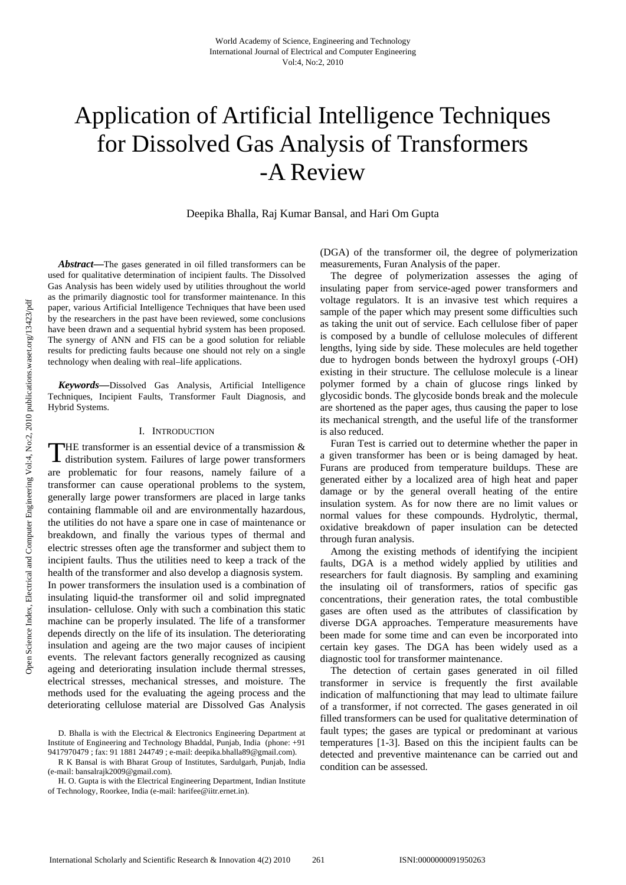# Application of Artificial Intelligence Techniques for Dissolved Gas Analysis of Transformers -A Review

Deepika Bhalla, Raj Kumar Bansal, and Hari Om Gupta

*Abstract***—**The gases generated in oil filled transformers can be used for qualitative determination of incipient faults. The Dissolved Gas Analysis has been widely used by utilities throughout the world as the primarily diagnostic tool for transformer maintenance. In this paper, various Artificial Intelligence Techniques that have been used by the researchers in the past have been reviewed, some conclusions have been drawn and a sequential hybrid system has been proposed. The synergy of ANN and FIS can be a good solution for reliable results for predicting faults because one should not rely on a single technology when dealing with real–life applications.

*Keywords***—**Dissolved Gas Analysis, Artificial Intelligence Techniques, Incipient Faults, Transformer Fault Diagnosis, and Hybrid Systems.

## I. INTRODUCTION

THE transformer is an essential device of a transmission & distribution system. Failures of large power transformers distribution system. Failures of large power transformers are problematic for four reasons, namely failure of a transformer can cause operational problems to the system, generally large power transformers are placed in large tanks containing flammable oil and are environmentally hazardous, the utilities do not have a spare one in case of maintenance or breakdown, and finally the various types of thermal and electric stresses often age the transformer and subject them to incipient faults. Thus the utilities need to keep a track of the health of the transformer and also develop a diagnosis system. In power transformers the insulation used is a combination of insulating liquid-the transformer oil and solid impregnated insulation- cellulose. Only with such a combination this static machine can be properly insulated. The life of a transformer depends directly on the life of its insulation. The deteriorating insulation and ageing are the two major causes of incipient events. The relevant factors generally recognized as causing ageing and deteriorating insulation include thermal stresses, electrical stresses, mechanical stresses, and moisture. The methods used for the evaluating the ageing process and the deteriorating cellulose material are Dissolved Gas Analysis

(DGA) of the transformer oil, the degree of polymerization measurements, Furan Analysis of the paper.

The degree of polymerization assesses the aging of insulating paper from service-aged power transformers and voltage regulators. It is an invasive test which requires a sample of the paper which may present some difficulties such as taking the unit out of service. Each cellulose fiber of paper is composed by a bundle of cellulose molecules of different lengths, lying side by side. These molecules are held together due to hydrogen bonds between the hydroxyl groups (-OH) existing in their structure. The cellulose molecule is a linear polymer formed by a chain of glucose rings linked by glycosidic bonds. The glycoside bonds break and the molecule are shortened as the paper ages, thus causing the paper to lose its mechanical strength, and the useful life of the transformer is also reduced.

Furan Test is carried out to determine whether the paper in a given transformer has been or is being damaged by heat. Furans are produced from temperature buildups. These are generated either by a localized area of high heat and paper damage or by the general overall heating of the entire insulation system. As for now there are no limit values or normal values for these compounds. Hydrolytic, thermal, oxidative breakdown of paper insulation can be detected through furan analysis.

Among the existing methods of identifying the incipient faults, DGA is a method widely applied by utilities and researchers for fault diagnosis. By sampling and examining the insulating oil of transformers, ratios of specific gas concentrations, their generation rates, the total combustible gases are often used as the attributes of classification by diverse DGA approaches. Temperature measurements have been made for some time and can even be incorporated into certain key gases. The DGA has been widely used as a diagnostic tool for transformer maintenance.

The detection of certain gases generated in oil filled transformer in service is frequently the first available indication of malfunctioning that may lead to ultimate failure of a transformer, if not corrected. The gases generated in oil filled transformers can be used for qualitative determination of fault types; the gases are typical or predominant at various temperatures [1-3]. Based on this the incipient faults can be detected and preventive maintenance can be carried out and condition can be assessed.

D. Bhalla is with the Electrical & Electronics Engineering Department at Institute of Engineering and Technology Bhaddal, Punjab, India (phone: +91 9417970479 ; fax: 91 1881 244749 ; e-mail: deepika.bhalla89@gmail.com).

R K Bansal is with Bharat Group of Institutes, Sardulgarh, Punjab, India (e-mail: bansalrajk2009@gmail.com).

H. O. Gupta is with the Electrical Engineering Department, Indian Institute of Technology, Roorkee, India (e-mail: harifee@iitr.ernet.in).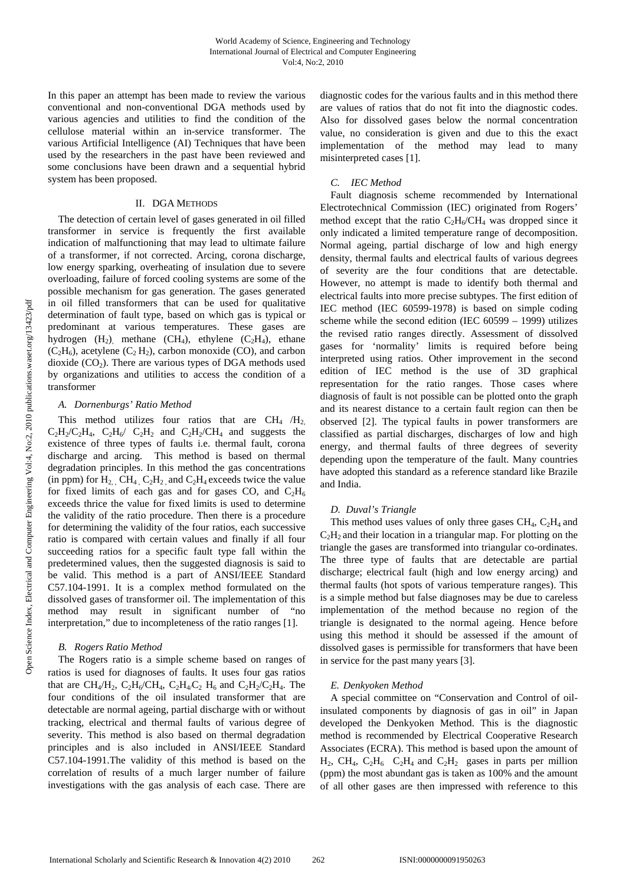In this paper an attempt has been made to review the various conventional and non-conventional DGA methods used by various agencies and utilities to find the condition of the cellulose material within an in-service transformer. The various Artificial Intelligence (AI) Techniques that have been used by the researchers in the past have been reviewed and some conclusions have been drawn and a sequential hybrid system has been proposed.

#### II. DGA METHODS

The detection of certain level of gases generated in oil filled transformer in service is frequently the first available indication of malfunctioning that may lead to ultimate failure of a transformer, if not corrected. Arcing, corona discharge, low energy sparking, overheating of insulation due to severe overloading, failure of forced cooling systems are some of the possible mechanism for gas generation. The gases generated in oil filled transformers that can be used for qualitative determination of fault type, based on which gas is typical or predominant at various temperatures. These gases are hydrogen  $(H_2)$  methane  $(CH_4)$ , ethylene  $(C_2H_4)$ , ethane  $(C_2H_6)$ , acetylene  $(C_2H_2)$ , carbon monoxide (CO), and carbon dioxide  $(CO<sub>2</sub>)$ . There are various types of DGA methods used by organizations and utilities to access the condition of a transformer

#### *A. Dornenburgs' Ratio Method*

This method utilizes four ratios that are  $CH_4$  /H<sub>2</sub>.  $C_2H_2/C_2H_4$ ,  $C_2H_6/C_2H_2$  and  $C_2H_2/CH_4$  and suggests the existence of three types of faults i.e. thermal fault, corona discharge and arcing. This method is based on thermal degradation principles. In this method the gas concentrations (in ppm) for  $H_2$ ,  $CH_4$ ,  $C_2H_2$ , and  $C_2H_4$  exceeds twice the value for fixed limits of each gas and for gases CO, and  $C_2H_6$ exceeds thrice the value for fixed limits is used to determine the validity of the ratio procedure. Then there is a procedure for determining the validity of the four ratios, each successive ratio is compared with certain values and finally if all four succeeding ratios for a specific fault type fall within the predetermined values, then the suggested diagnosis is said to be valid. This method is a part of ANSI/IEEE Standard C57.104-1991. It is a complex method formulated on the dissolved gases of transformer oil. The implementation of this method may result in significant number of "no interpretation," due to incompleteness of the ratio ranges [1].

## *B. Rogers Ratio Method*

The Rogers ratio is a simple scheme based on ranges of ratios is used for diagnoses of faults. It uses four gas ratios that are CH<sub>4</sub>/H<sub>2</sub>, C<sub>2</sub>H<sub>6</sub>/CH<sub>4</sub>, C<sub>2</sub>H<sub>4</sub>/C<sub>2</sub> H<sub>6</sub> and C<sub>2</sub>H<sub>2</sub>/C<sub>2</sub>H<sub>4</sub>. The four conditions of the oil insulated transformer that are detectable are normal ageing, partial discharge with or without tracking, electrical and thermal faults of various degree of severity. This method is also based on thermal degradation principles and is also included in ANSI/IEEE Standard C57.104-1991.The validity of this method is based on the correlation of results of a much larger number of failure investigations with the gas analysis of each case. There are diagnostic codes for the various faults and in this method there are values of ratios that do not fit into the diagnostic codes. Also for dissolved gases below the normal concentration value, no consideration is given and due to this the exact implementation of the method may lead to many misinterpreted cases [1].

## *C. IEC Method*

Fault diagnosis scheme recommended by International Electrotechnical Commission (IEC) originated from Rogers' method except that the ratio  $C_2H_6/CH_4$  was dropped since it only indicated a limited temperature range of decomposition. Normal ageing, partial discharge of low and high energy density, thermal faults and electrical faults of various degrees of severity are the four conditions that are detectable. However, no attempt is made to identify both thermal and electrical faults into more precise subtypes. The first edition of IEC method (IEC 60599-1978) is based on simple coding scheme while the second edition (IEC 60599 – 1999) utilizes the revised ratio ranges directly. Assessment of dissolved gases for 'normality' limits is required before being interpreted using ratios. Other improvement in the second edition of IEC method is the use of 3D graphical representation for the ratio ranges. Those cases where diagnosis of fault is not possible can be plotted onto the graph and its nearest distance to a certain fault region can then be observed [2]. The typical faults in power transformers are classified as partial discharges, discharges of low and high energy, and thermal faults of three degrees of severity depending upon the temperature of the fault. Many countries have adopted this standard as a reference standard like Brazile and India.

#### *D. Duval's Triangle*

This method uses values of only three gases  $CH_4$ ,  $C_2H_4$  and  $C<sub>2</sub>H<sub>2</sub>$  and their location in a triangular map. For plotting on the triangle the gases are transformed into triangular co-ordinates. The three type of faults that are detectable are partial discharge; electrical fault (high and low energy arcing) and thermal faults (hot spots of various temperature ranges). This is a simple method but false diagnoses may be due to careless implementation of the method because no region of the triangle is designated to the normal ageing. Hence before using this method it should be assessed if the amount of dissolved gases is permissible for transformers that have been in service for the past many years [3].

#### *E. Denkyoken Method*

A special committee on "Conservation and Control of oilinsulated components by diagnosis of gas in oil" in Japan developed the Denkyoken Method. This is the diagnostic method is recommended by Electrical Cooperative Research Associates (ECRA). This method is based upon the amount of  $H_2$ , CH<sub>4</sub>, C<sub>2</sub>H<sub>6</sub> C<sub>2</sub>H<sub>4</sub> and C<sub>2</sub>H<sub>2</sub> gases in parts per million (ppm) the most abundant gas is taken as 100% and the amount of all other gases are then impressed with reference to this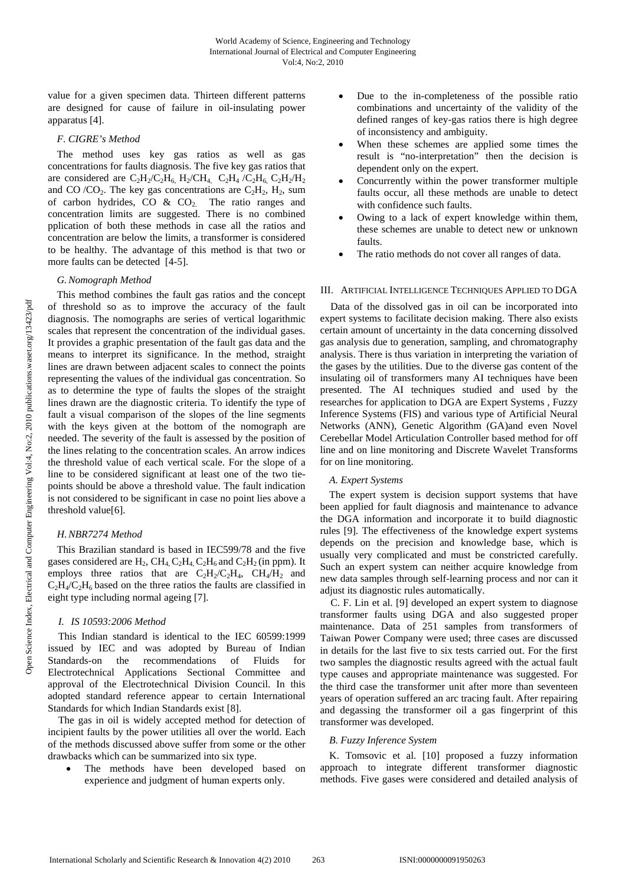value for a given specimen data. Thirteen different patterns are designed for cause of failure in oil-insulating power apparatus [4].

## *F. CIGRE's Method*

The method uses key gas ratios as well as gas concentrations for faults diagnosis. The five key gas ratios that are considered are  $C_2H_2/C_2H_6$ ,  $H_2/CH_4$ ,  $C_2H_4/C_2H_6$ ,  $C_2H_2/H_2$ and CO /CO<sub>2</sub>. The key gas concentrations are  $C_2H_2$ ,  $H_2$ , sum of carbon hydrides, CO &  $CO<sub>2</sub>$ . The ratio ranges and concentration limits are suggested. There is no combined pplication of both these methods in case all the ratios and concentration are below the limits, a transformer is considered to be healthy. The advantage of this method is that two or more faults can be detected [4-5].

#### *G. Nomograph Method*

This method combines the fault gas ratios and the concept of threshold so as to improve the accuracy of the fault diagnosis. The nomographs are series of vertical logarithmic scales that represent the concentration of the individual gases. It provides a graphic presentation of the fault gas data and the means to interpret its significance. In the method, straight lines are drawn between adjacent scales to connect the points representing the values of the individual gas concentration. So as to determine the type of faults the slopes of the straight lines drawn are the diagnostic criteria. To identify the type of fault a visual comparison of the slopes of the line segments with the keys given at the bottom of the nomograph are needed. The severity of the fault is assessed by the position of the lines relating to the concentration scales. An arrow indices the threshold value of each vertical scale. For the slope of a line to be considered significant at least one of the two tiepoints should be above a threshold value. The fault indication is not considered to be significant in case no point lies above a threshold value[6].

## *H. NBR7274 Method*

This Brazilian standard is based in IEC599/78 and the five gases considered are  $H_2$ ,  $CH_4$ ,  $C_2H_4$ ,  $C_2H_6$  and  $C_2H_2$  (in ppm). It employs three ratios that are  $C_2H_2/C_2H_4$ ,  $CH_4/H_2$  and  $C_2H_4/C_2H_6$  based on the three ratios the faults are classified in eight type including normal ageing [7].

## *I. IS 10593:2006 Method*

This Indian standard is identical to the IEC 60599:1999 issued by IEC and was adopted by Bureau of Indian Standards-on the recommendations of Fluids for Electrotechnical Applications Sectional Committee and approval of the Electrotechnical Division Council. In this adopted standard reference appear to certain International Standards for which Indian Standards exist [8].

The gas in oil is widely accepted method for detection of incipient faults by the power utilities all over the world. Each of the methods discussed above suffer from some or the other drawbacks which can be summarized into six type.

The methods have been developed based on experience and judgment of human experts only.

- Due to the in-completeness of the possible ratio combinations and uncertainty of the validity of the defined ranges of key-gas ratios there is high degree of inconsistency and ambiguity.
- When these schemes are applied some times the result is "no-interpretation" then the decision is dependent only on the expert.
- Concurrently within the power transformer multiple faults occur, all these methods are unable to detect with confidence such faults.
- Owing to a lack of expert knowledge within them, these schemes are unable to detect new or unknown faults.
- The ratio methods do not cover all ranges of data.

#### III. ARTIFICIAL INTELLIGENCE TECHNIQUES APPLIED TO DGA

Data of the dissolved gas in oil can be incorporated into expert systems to facilitate decision making. There also exists certain amount of uncertainty in the data concerning dissolved gas analysis due to generation, sampling, and chromatography analysis. There is thus variation in interpreting the variation of the gases by the utilities. Due to the diverse gas content of the insulating oil of transformers many AI techniques have been presented. The AI techniques studied and used by the researches for application to DGA are Expert Systems , Fuzzy Inference Systems (FIS) and various type of Artificial Neural Networks (ANN), Genetic Algorithm (GA)and even Novel Cerebellar Model Articulation Controller based method for off line and on line monitoring and Discrete Wavelet Transforms for on line monitoring.

## *A. Expert Systems*

The expert system is decision support systems that have been applied for fault diagnosis and maintenance to advance the DGA information and incorporate it to build diagnostic rules [9]. The effectiveness of the knowledge expert systems depends on the precision and knowledge base, which is usually very complicated and must be constricted carefully. Such an expert system can neither acquire knowledge from new data samples through self-learning process and nor can it adjust its diagnostic rules automatically.

C. F. Lin et al. [9] developed an expert system to diagnose transformer faults using DGA and also suggested proper maintenance. Data of 251 samples from transformers of Taiwan Power Company were used; three cases are discussed in details for the last five to six tests carried out. For the first two samples the diagnostic results agreed with the actual fault type causes and appropriate maintenance was suggested. For the third case the transformer unit after more than seventeen years of operation suffered an arc tracing fault. After repairing and degassing the transformer oil a gas fingerprint of this transformer was developed.

# *B. Fuzzy Inference System*

K. Tomsovic et al. [10] proposed a fuzzy information approach to integrate different transformer diagnostic methods. Five gases were considered and detailed analysis of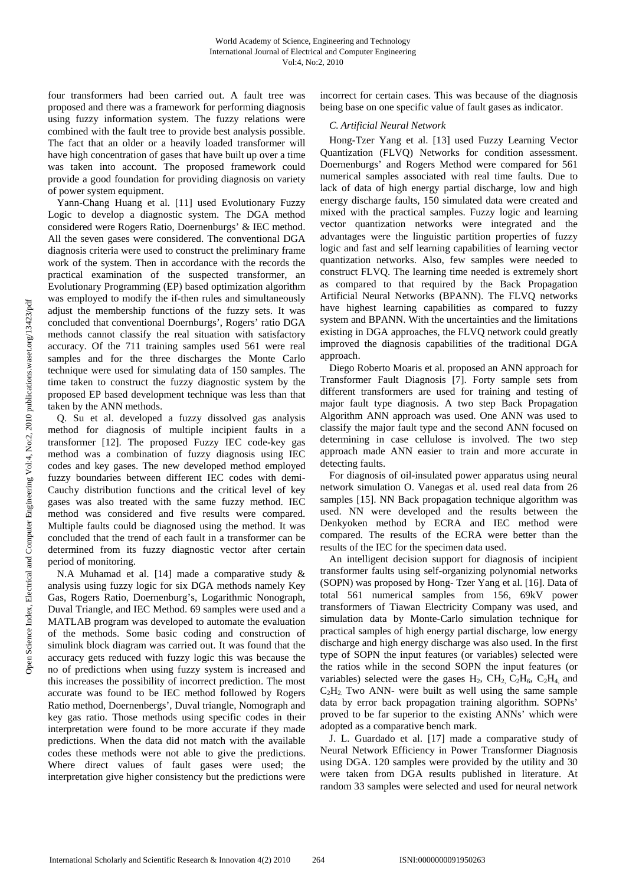four transformers had been carried out. A fault tree was proposed and there was a framework for performing diagnosis using fuzzy information system. The fuzzy relations were combined with the fault tree to provide best analysis possible. The fact that an older or a heavily loaded transformer will have high concentration of gases that have built up over a time was taken into account. The proposed framework could provide a good foundation for providing diagnosis on variety of power system equipment.

Yann-Chang Huang et al. [11] used Evolutionary Fuzzy Logic to develop a diagnostic system. The DGA method considered were Rogers Ratio, Doernenburgs' & IEC method. All the seven gases were considered. The conventional DGA diagnosis criteria were used to construct the preliminary frame work of the system. Then in accordance with the records the practical examination of the suspected transformer, an Evolutionary Programming (EP) based optimization algorithm was employed to modify the if-then rules and simultaneously adjust the membership functions of the fuzzy sets. It was concluded that conventional Doernburgs', Rogers' ratio DGA methods cannot classify the real situation with satisfactory accuracy. Of the 711 training samples used 561 were real samples and for the three discharges the Monte Carlo technique were used for simulating data of 150 samples. The time taken to construct the fuzzy diagnostic system by the proposed EP based development technique was less than that taken by the ANN methods.

Q. Su et al. developed a fuzzy dissolved gas analysis method for diagnosis of multiple incipient faults in a transformer [12]. The proposed Fuzzy IEC code-key gas method was a combination of fuzzy diagnosis using IEC codes and key gases. The new developed method employed fuzzy boundaries between different IEC codes with demi-Cauchy distribution functions and the critical level of key gases was also treated with the same fuzzy method. IEC method was considered and five results were compared. Multiple faults could be diagnosed using the method. It was concluded that the trend of each fault in a transformer can be determined from its fuzzy diagnostic vector after certain period of monitoring.

N.A Muhamad et al. [14] made a comparative study & analysis using fuzzy logic for six DGA methods namely Key Gas, Rogers Ratio, Doernenburg's, Logarithmic Nonograph, Duval Triangle, and IEC Method. 69 samples were used and a MATLAB program was developed to automate the evaluation of the methods. Some basic coding and construction of simulink block diagram was carried out. It was found that the accuracy gets reduced with fuzzy logic this was because the no of predictions when using fuzzy system is increased and this increases the possibility of incorrect prediction. The most accurate was found to be IEC method followed by Rogers Ratio method, Doernenbergs', Duval triangle, Nomograph and key gas ratio. Those methods using specific codes in their interpretation were found to be more accurate if they made predictions. When the data did not match with the available codes these methods were not able to give the predictions. Where direct values of fault gases were used; the interpretation give higher consistency but the predictions were

incorrect for certain cases. This was because of the diagnosis being base on one specific value of fault gases as indicator.

# *C. Artificial Neural Network*

Hong-Tzer Yang et al. [13] used Fuzzy Learning Vector Quantization (FLVQ) Networks for condition assessment. Doernenburgs' and Rogers Method were compared for 561 numerical samples associated with real time faults. Due to lack of data of high energy partial discharge, low and high energy discharge faults, 150 simulated data were created and mixed with the practical samples. Fuzzy logic and learning vector quantization networks were integrated and the advantages were the linguistic partition properties of fuzzy logic and fast and self learning capabilities of learning vector quantization networks. Also, few samples were needed to construct FLVQ. The learning time needed is extremely short as compared to that required by the Back Propagation Artificial Neural Networks (BPANN). The FLVQ networks have highest learning capabilities as compared to fuzzy system and BPANN. With the uncertainties and the limitations existing in DGA approaches, the FLVQ network could greatly improved the diagnosis capabilities of the traditional DGA approach.

Diego Roberto Moaris et al. proposed an ANN approach for Transformer Fault Diagnosis [7]. Forty sample sets from different transformers are used for training and testing of major fault type diagnosis. A two step Back Propagation Algorithm ANN approach was used. One ANN was used to classify the major fault type and the second ANN focused on determining in case cellulose is involved. The two step approach made ANN easier to train and more accurate in detecting faults.

For diagnosis of oil-insulated power apparatus using neural network simulation O. Vanegas et al. used real data from 26 samples [15]. NN Back propagation technique algorithm was used. NN were developed and the results between the Denkyoken method by ECRA and IEC method were compared. The results of the ECRA were better than the results of the IEC for the specimen data used.

An intelligent decision support for diagnosis of incipient transformer faults using self-organizing polynomial networks (SOPN) was proposed by Hong- Tzer Yang et al. [16]. Data of total 561 numerical samples from 156, 69kV power transformers of Tiawan Electricity Company was used, and simulation data by Monte-Carlo simulation technique for practical samples of high energy partial discharge, low energy discharge and high energy discharge was also used. In the first type of SOPN the input features (or variables) selected were the ratios while in the second SOPN the input features (or variables) selected were the gases  $H_2$ ,  $CH_2$ ,  $C_2H_6$ ,  $C_2H_4$  and  $C<sub>2</sub>H<sub>2</sub>$  Two ANN- were built as well using the same sample data by error back propagation training algorithm. SOPNs' proved to be far superior to the existing ANNs' which were adopted as a comparative bench mark.

J. L. Guardado et al. [17] made a comparative study of Neural Network Efficiency in Power Transformer Diagnosis using DGA. 120 samples were provided by the utility and 30 were taken from DGA results published in literature. At random 33 samples were selected and used for neural network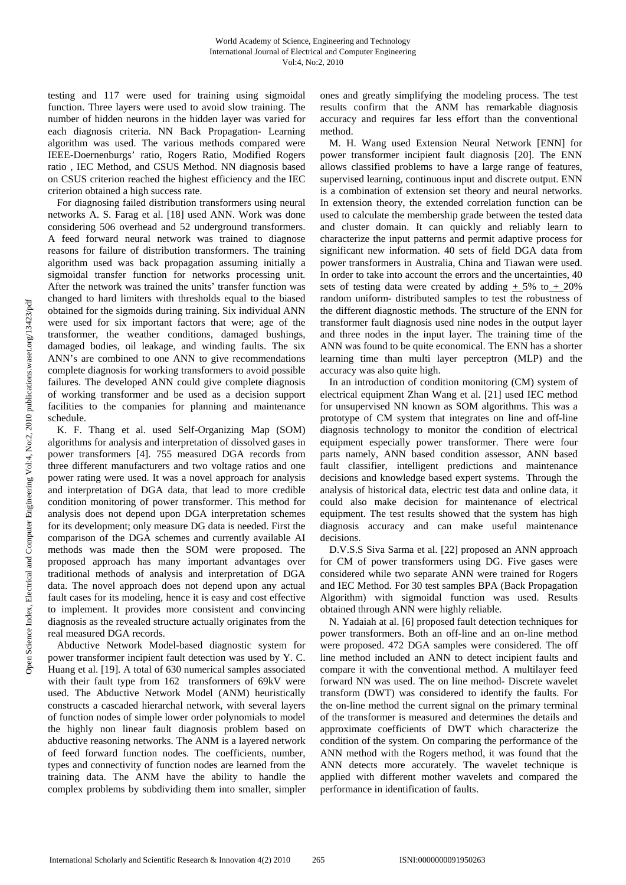testing and 117 were used for training using sigmoidal function. Three layers were used to avoid slow training. The number of hidden neurons in the hidden layer was varied for each diagnosis criteria. NN Back Propagation- Learning algorithm was used. The various methods compared were IEEE-Doernenburgs' ratio, Rogers Ratio, Modified Rogers ratio , IEC Method, and CSUS Method. NN diagnosis based on CSUS criterion reached the highest efficiency and the IEC criterion obtained a high success rate.

For diagnosing failed distribution transformers using neural networks A. S. Farag et al. [18] used ANN. Work was done considering 506 overhead and 52 underground transformers. A feed forward neural network was trained to diagnose reasons for failure of distribution transformers. The training algorithm used was back propagation assuming initially a sigmoidal transfer function for networks processing unit. After the network was trained the units' transfer function was changed to hard limiters with thresholds equal to the biased obtained for the sigmoids during training. Six individual ANN were used for six important factors that were; age of the transformer, the weather conditions, damaged bushings, damaged bodies, oil leakage, and winding faults. The six ANN's are combined to one ANN to give recommendations complete diagnosis for working transformers to avoid possible failures. The developed ANN could give complete diagnosis of working transformer and be used as a decision support facilities to the companies for planning and maintenance schedule.

K. F. Thang et al. used Self-Organizing Map (SOM) algorithms for analysis and interpretation of dissolved gases in power transformers [4]. 755 measured DGA records from three different manufacturers and two voltage ratios and one power rating were used. It was a novel approach for analysis and interpretation of DGA data, that lead to more credible condition monitoring of power transformer. This method for analysis does not depend upon DGA interpretation schemes for its development; only measure DG data is needed. First the comparison of the DGA schemes and currently available AI methods was made then the SOM were proposed. The proposed approach has many important advantages over traditional methods of analysis and interpretation of DGA data. The novel approach does not depend upon any actual fault cases for its modeling, hence it is easy and cost effective to implement. It provides more consistent and convincing diagnosis as the revealed structure actually originates from the real measured DGA records.

Abductive Network Model-based diagnostic system for power transformer incipient fault detection was used by Y. C. Huang et al. [19]. A total of 630 numerical samples associated with their fault type from 162 transformers of 69kV were used. The Abductive Network Model (ANM) heuristically constructs a cascaded hierarchal network, with several layers of function nodes of simple lower order polynomials to model the highly non linear fault diagnosis problem based on abductive reasoning networks. The ANM is a layered network of feed forward function nodes. The coefficients, number, types and connectivity of function nodes are learned from the training data. The ANM have the ability to handle the complex problems by subdividing them into smaller, simpler ones and greatly simplifying the modeling process. The test results confirm that the ANM has remarkable diagnosis accuracy and requires far less effort than the conventional method.

M. H. Wang used Extension Neural Network [ENN] for power transformer incipient fault diagnosis [20]. The ENN allows classified problems to have a large range of features, supervised learning, continuous input and discrete output. ENN is a combination of extension set theory and neural networks. In extension theory, the extended correlation function can be used to calculate the membership grade between the tested data and cluster domain. It can quickly and reliably learn to characterize the input patterns and permit adaptive process for significant new information. 40 sets of field DGA data from power transformers in Australia, China and Tiawan were used. In order to take into account the errors and the uncertainties, 40 sets of testing data were created by adding  $\pm$  5% to  $\pm$  20% random uniform- distributed samples to test the robustness of the different diagnostic methods. The structure of the ENN for transformer fault diagnosis used nine nodes in the output layer and three nodes in the input layer. The training time of the ANN was found to be quite economical. The ENN has a shorter learning time than multi layer perceptron (MLP) and the accuracy was also quite high.

In an introduction of condition monitoring (CM) system of electrical equipment Zhan Wang et al. [21] used IEC method for unsupervised NN known as SOM algorithms. This was a prototype of CM system that integrates on line and off-line diagnosis technology to monitor the condition of electrical equipment especially power transformer. There were four parts namely, ANN based condition assessor, ANN based fault classifier, intelligent predictions and maintenance decisions and knowledge based expert systems. Through the analysis of historical data, electric test data and online data, it could also make decision for maintenance of electrical equipment. The test results showed that the system has high diagnosis accuracy and can make useful maintenance decisions.

D.V.S.S Siva Sarma et al. [22] proposed an ANN approach for CM of power transformers using DG. Five gases were considered while two separate ANN were trained for Rogers and IEC Method. For 30 test samples BPA (Back Propagation Algorithm) with sigmoidal function was used. Results obtained through ANN were highly reliable.

N. Yadaiah at al. [6] proposed fault detection techniques for power transformers. Both an off-line and an on-line method were proposed. 472 DGA samples were considered. The off line method included an ANN to detect incipient faults and compare it with the conventional method. A multilayer feed forward NN was used. The on line method- Discrete wavelet transform (DWT) was considered to identify the faults. For the on-line method the current signal on the primary terminal of the transformer is measured and determines the details and approximate coefficients of DWT which characterize the condition of the system. On comparing the performance of the ANN method with the Rogers method, it was found that the ANN detects more accurately. The wavelet technique is applied with different mother wavelets and compared the performance in identification of faults.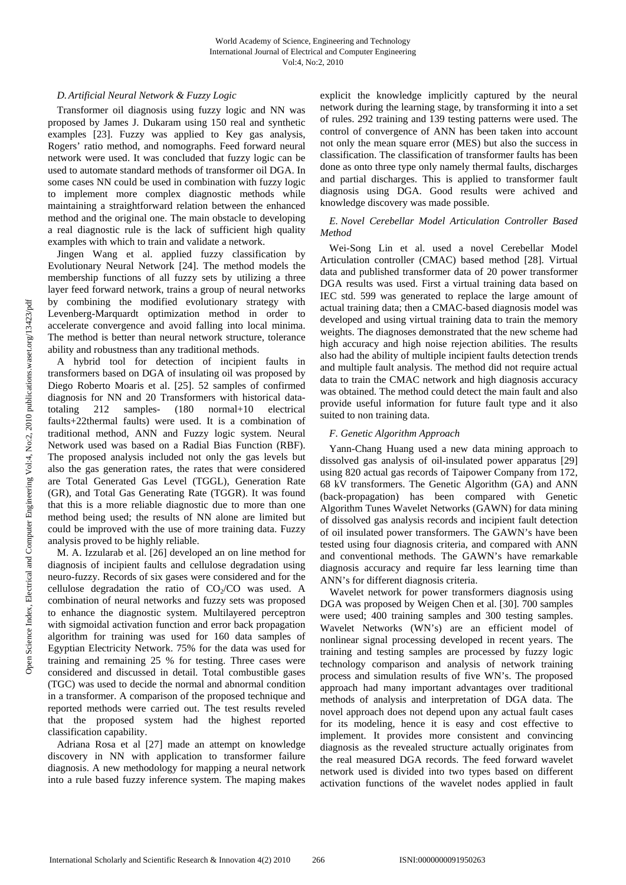# *D. Artificial Neural Network & Fuzzy Logic*

Transformer oil diagnosis using fuzzy logic and NN was proposed by James J. Dukaram using 150 real and synthetic examples [23]. Fuzzy was applied to Key gas analysis, Rogers' ratio method, and nomographs. Feed forward neural network were used. It was concluded that fuzzy logic can be used to automate standard methods of transformer oil DGA. In some cases NN could be used in combination with fuzzy logic to implement more complex diagnostic methods while maintaining a straightforward relation between the enhanced method and the original one. The main obstacle to developing a real diagnostic rule is the lack of sufficient high quality examples with which to train and validate a network.

Jingen Wang et al. applied fuzzy classification by Evolutionary Neural Network [24]. The method models the membership functions of all fuzzy sets by utilizing a three layer feed forward network, trains a group of neural networks by combining the modified evolutionary strategy with Levenberg-Marquardt optimization method in order to accelerate convergence and avoid falling into local minima. The method is better than neural network structure, tolerance ability and robustness than any traditional methods.

A hybrid tool for detection of incipient faults in transformers based on DGA of insulating oil was proposed by Diego Roberto Moaris et al. [25]. 52 samples of confirmed diagnosis for NN and 20 Transformers with historical datatotaling 212 samples- (180 normal+10 electrical faults+22thermal faults) were used. It is a combination of traditional method, ANN and Fuzzy logic system. Neural Network used was based on a Radial Bias Function (RBF). The proposed analysis included not only the gas levels but also the gas generation rates, the rates that were considered are Total Generated Gas Level (TGGL), Generation Rate (GR), and Total Gas Generating Rate (TGGR). It was found that this is a more reliable diagnostic due to more than one method being used; the results of NN alone are limited but could be improved with the use of more training data. Fuzzy analysis proved to be highly reliable.

M. A. Izzularab et al. [26] developed an on line method for diagnosis of incipient faults and cellulose degradation using neuro-fuzzy. Records of six gases were considered and for the cellulose degradation the ratio of  $CO<sub>2</sub>/CO$  was used. A combination of neural networks and fuzzy sets was proposed to enhance the diagnostic system. Multilayered perceptron with sigmoidal activation function and error back propagation algorithm for training was used for 160 data samples of Egyptian Electricity Network. 75% for the data was used for training and remaining 25 % for testing. Three cases were considered and discussed in detail. Total combustible gases (TGC) was used to decide the normal and abnormal condition in a transformer. A comparison of the proposed technique and reported methods were carried out. The test results reveled that the proposed system had the highest reported classification capability.

Adriana Rosa et al [27] made an attempt on knowledge discovery in NN with application to transformer failure diagnosis. A new methodology for mapping a neural network into a rule based fuzzy inference system. The maping makes explicit the knowledge implicitly captured by the neural network during the learning stage, by transforming it into a set of rules. 292 training and 139 testing patterns were used. The control of convergence of ANN has been taken into account not only the mean square error (MES) but also the success in classification. The classification of transformer faults has been done as onto three type only namely thermal faults, discharges and partial discharges. This is applied to transformer fault diagnosis using DGA. Good results were achived and knowledge discovery was made possible.

# *E. Novel Cerebellar Model Articulation Controller Based Method*

Wei-Song Lin et al. used a novel Cerebellar Model Articulation controller (CMAC) based method [28]. Virtual data and published transformer data of 20 power transformer DGA results was used. First a virtual training data based on IEC std. 599 was generated to replace the large amount of actual training data; then a CMAC-based diagnosis model was developed and using virtual training data to train the memory weights. The diagnoses demonstrated that the new scheme had high accuracy and high noise rejection abilities. The results also had the ability of multiple incipient faults detection trends and multiple fault analysis. The method did not require actual data to train the CMAC network and high diagnosis accuracy was obtained. The method could detect the main fault and also provide useful information for future fault type and it also suited to non training data.

# *F. Genetic Algorithm Approach*

Yann-Chang Huang used a new data mining approach to dissolved gas analysis of oil-insulated power apparatus [29] using 820 actual gas records of Taipower Company from 172, 68 kV transformers. The Genetic Algorithm (GA) and ANN (back-propagation) has been compared with Genetic Algorithm Tunes Wavelet Networks (GAWN) for data mining of dissolved gas analysis records and incipient fault detection of oil insulated power transformers. The GAWN's have been tested using four diagnosis criteria, and compared with ANN and conventional methods. The GAWN's have remarkable diagnosis accuracy and require far less learning time than ANN's for different diagnosis criteria.

Wavelet network for power transformers diagnosis using DGA was proposed by Weigen Chen et al. [30]. 700 samples were used; 400 training samples and 300 testing samples. Wavelet Networks (WN's) are an efficient model of nonlinear signal processing developed in recent years. The training and testing samples are processed by fuzzy logic technology comparison and analysis of network training process and simulation results of five WN's. The proposed approach had many important advantages over traditional methods of analysis and interpretation of DGA data. The novel approach does not depend upon any actual fault cases for its modeling, hence it is easy and cost effective to implement. It provides more consistent and convincing diagnosis as the revealed structure actually originates from the real measured DGA records. The feed forward wavelet network used is divided into two types based on different activation functions of the wavelet nodes applied in fault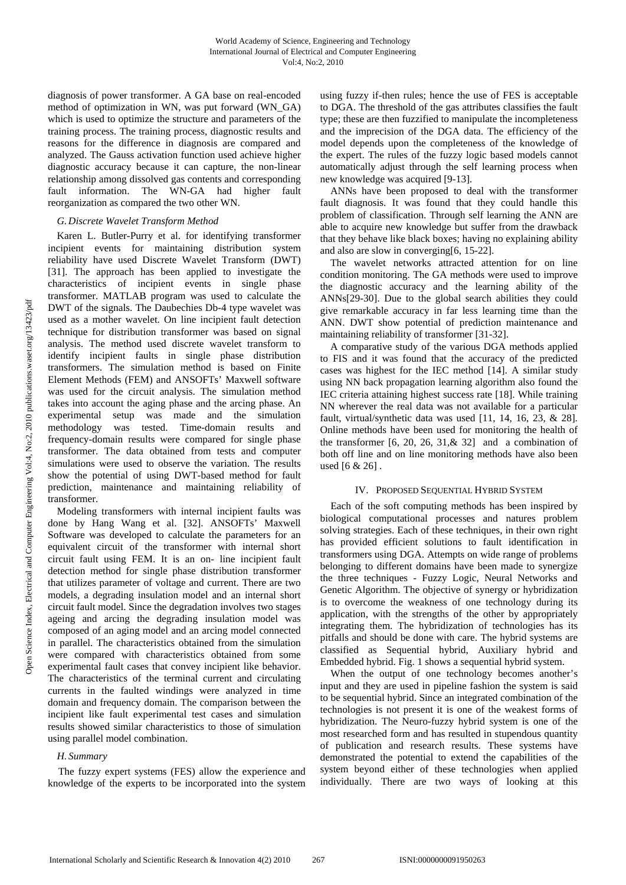diagnosis of power transformer. A GA base on real-encoded method of optimization in WN, was put forward (WN\_GA) which is used to optimize the structure and parameters of the training process. The training process, diagnostic results and reasons for the difference in diagnosis are compared and analyzed. The Gauss activation function used achieve higher diagnostic accuracy because it can capture, the non-linear relationship among dissolved gas contents and corresponding fault information. The WN-GA had higher fault reorganization as compared the two other WN.

## *G. Discrete Wavelet Transform Method*

Karen L. Butler-Purry et al. for identifying transformer incipient events for maintaining distribution system reliability have used Discrete Wavelet Transform (DWT) [31]. The approach has been applied to investigate the characteristics of incipient events in single phase transformer. MATLAB program was used to calculate the DWT of the signals. The Daubechies Db-4 type wavelet was used as a mother wavelet. On line incipient fault detection technique for distribution transformer was based on signal analysis. The method used discrete wavelet transform to identify incipient faults in single phase distribution transformers. The simulation method is based on Finite Element Methods (FEM) and ANSOFTs' Maxwell software was used for the circuit analysis. The simulation method takes into account the aging phase and the arcing phase. An experimental setup was made and the simulation methodology was tested. Time-domain results and frequency-domain results were compared for single phase transformer. The data obtained from tests and computer simulations were used to observe the variation. The results show the potential of using DWT-based method for fault prediction, maintenance and maintaining reliability of transformer.

Modeling transformers with internal incipient faults was done by Hang Wang et al. [32]. ANSOFTs' Maxwell Software was developed to calculate the parameters for an equivalent circuit of the transformer with internal short circuit fault using FEM. It is an on- line incipient fault detection method for single phase distribution transformer that utilizes parameter of voltage and current. There are two models, a degrading insulation model and an internal short circuit fault model. Since the degradation involves two stages ageing and arcing the degrading insulation model was composed of an aging model and an arcing model connected in parallel. The characteristics obtained from the simulation were compared with characteristics obtained from some experimental fault cases that convey incipient like behavior. The characteristics of the terminal current and circulating currents in the faulted windings were analyzed in time domain and frequency domain. The comparison between the incipient like fault experimental test cases and simulation results showed similar characteristics to those of simulation using parallel model combination.

# *H. Summary*

The fuzzy expert systems (FES) allow the experience and knowledge of the experts to be incorporated into the system using fuzzy if-then rules; hence the use of FES is acceptable to DGA. The threshold of the gas attributes classifies the fault type; these are then fuzzified to manipulate the incompleteness and the imprecision of the DGA data. The efficiency of the model depends upon the completeness of the knowledge of the expert. The rules of the fuzzy logic based models cannot automatically adjust through the self learning process when new knowledge was acquired [9-13].

ANNs have been proposed to deal with the transformer fault diagnosis. It was found that they could handle this problem of classification. Through self learning the ANN are able to acquire new knowledge but suffer from the drawback that they behave like black boxes; having no explaining ability and also are slow in converging[6, 15-22].

The wavelet networks attracted attention for on line condition monitoring. The GA methods were used to improve the diagnostic accuracy and the learning ability of the ANNs[29-30]. Due to the global search abilities they could give remarkable accuracy in far less learning time than the ANN. DWT show potential of prediction maintenance and maintaining reliability of transformer [31-32].

A comparative study of the various DGA methods applied to FIS and it was found that the accuracy of the predicted cases was highest for the IEC method [14]. A similar study using NN back propagation learning algorithm also found the IEC criteria attaining highest success rate [18]. While training NN wherever the real data was not available for a particular fault, virtual/synthetic data was used [11, 14, 16, 23, & 28]. Online methods have been used for monitoring the health of the transformer  $[6, 20, 26, 31, & 32]$  and a combination of both off line and on line monitoring methods have also been used [6 & 26] .

# IV. PROPOSED SEQUENTIAL HYBRID SYSTEM

Each of the soft computing methods has been inspired by biological computational processes and natures problem solving strategies. Each of these techniques, in their own right has provided efficient solutions to fault identification in transformers using DGA. Attempts on wide range of problems belonging to different domains have been made to synergize the three techniques - Fuzzy Logic, Neural Networks and Genetic Algorithm. The objective of synergy or hybridization is to overcome the weakness of one technology during its application, with the strengths of the other by appropriately integrating them. The hybridization of technologies has its pitfalls and should be done with care. The hybrid systems are classified as Sequential hybrid, Auxiliary hybrid and Embedded hybrid. Fig. 1 shows a sequential hybrid system.

When the output of one technology becomes another's input and they are used in pipeline fashion the system is said to be sequential hybrid. Since an integrated combination of the technologies is not present it is one of the weakest forms of hybridization. The Neuro-fuzzy hybrid system is one of the most researched form and has resulted in stupendous quantity of publication and research results. These systems have demonstrated the potential to extend the capabilities of the system beyond either of these technologies when applied individually. There are two ways of looking at this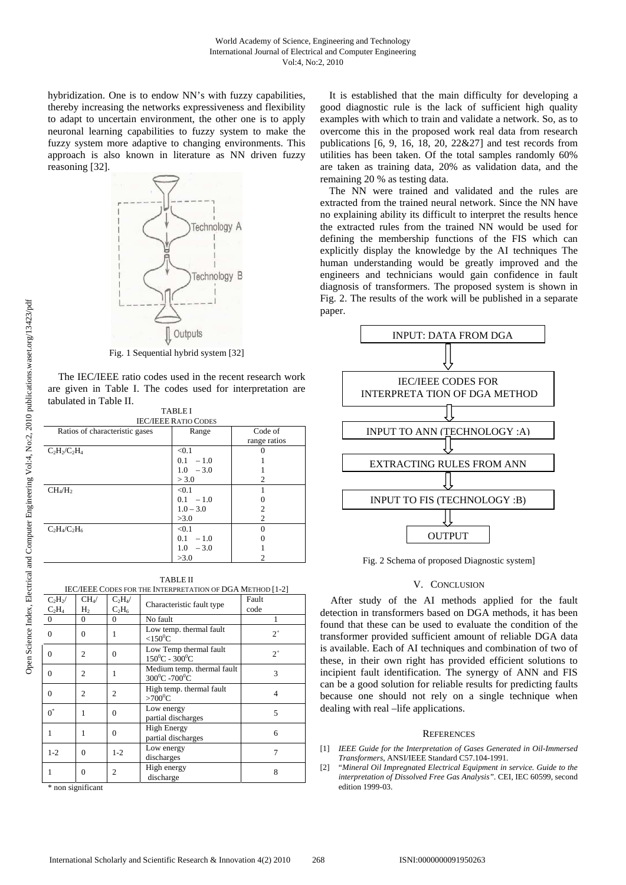hybridization. One is to endow NN's with fuzzy capabilities, thereby increasing the networks expressiveness and flexibility to adapt to uncertain environment, the other one is to apply neuronal learning capabilities to fuzzy system to make the fuzzy system more adaptive to changing environments. This approach is also known in literature as NN driven fuzzy reasoning [32].



Fig. 1 Sequential hybrid system [32]

The IEC/IEEE ratio codes used in the recent research work are given in Table I. The codes used for interpretation are tabulated in Table II. TABLE I

|                                 | TADI.ET     |              |
|---------------------------------|-------------|--------------|
| <b>IEC/IEEE RATIO CODES</b>     |             |              |
| Ratios of characteristic gases  | Range       | Code of      |
|                                 |             | range ratios |
| $C_2H_2/C_2H_4$                 | < 0.1       |              |
|                                 | $0.1 - 1.0$ |              |
|                                 | $1.0 - 3.0$ |              |
|                                 | > 3.0       | 2            |
| CH <sub>4</sub> /H <sub>2</sub> | < 0.1       |              |
|                                 | $0.1 - 1.0$ |              |
|                                 | $1.0 - 3.0$ | 2            |
|                                 | >3.0        | 2            |
| $C_2H_4/C_2H_6$                 | < 0.1       |              |
|                                 | $0.1 - 1.0$ |              |
|                                 | $1.0 - 3.0$ |              |
|                                 | >3.0        |              |

TABLE II IEC/IEEE CODES FOR THE INTERPRETATION OF DGA METHOD [1-2]  $C_2H_2$ /  $\frac{C_2H}{0}$  $CH<sub>4</sub>$  $H<sub>2</sub>$  $C_2H_4$  $C_2H_6$ Characteristic fault type code  $\begin{array}{ccc} 0 & 0 & \text{No fault} \end{array}$  1 0 0 1 Low temp. thermal fault  $2^+$  $< 150^0C$ 0  $\begin{array}{|c|c|c|c|c|} \hline 2 & 0 & \text{Low Temp thermal fault} \ \hline & 150^0 \text{C} - 300^0 \text{C} & & \end{array}$  $150^0C - 300^0$ 0 2 1 Medium temp. thermal fault<br>  $300^0C - 700^0C$  $300^0C - 700^0$ 0 2 2 High temp. thermal fault 4  $>700^0C$  4  $>700^0C$  $0^{\prime}$  1 0 Low energy partial discharges 5  $\begin{array}{ccc|c} 1 & 1 & 0 \end{array}$  High Energy Partial discharges and the same of the same of the same of the same of the same of the same of the same of the same of the same of the same of the same of the same of the same of the same of the same of the same of the sam  $1-2$  0  $1-2$  Low energy Low energy 7<br>discharges 7  $\begin{array}{ccc} 1 & 0 & 2 \end{array}$  High energy discharge 8

\* non significant

It is established that the main difficulty for developing a good diagnostic rule is the lack of sufficient high quality examples with which to train and validate a network. So, as to overcome this in the proposed work real data from research publications [6, 9, 16, 18, 20, 22&27] and test records from utilities has been taken. Of the total samples randomly 60% are taken as training data, 20% as validation data, and the remaining 20 % as testing data.

The NN were trained and validated and the rules are extracted from the trained neural network. Since the NN have no explaining ability its difficult to interpret the results hence the extracted rules from the trained NN would be used for defining the membership functions of the FIS which can explicitly display the knowledge by the AI techniques The human understanding would be greatly improved and the engineers and technicians would gain confidence in fault diagnosis of transformers. The proposed system is shown in Fig. 2. The results of the work will be published in a separate paper.



Fig. 2 Schema of proposed Diagnostic system]

#### V. CONCLUSION

After study of the AI methods applied for the fault detection in transformers based on DGA methods, it has been found that these can be used to evaluate the condition of the transformer provided sufficient amount of reliable DGA data is available. Each of AI techniques and combination of two of these, in their own right has provided efficient solutions to incipient fault identification. The synergy of ANN and FIS can be a good solution for reliable results for predicting faults because one should not rely on a single technique when dealing with real –life applications.

#### **REFERENCES**

- [1] *IEEE Guide for the Interpretation of Gases Generated in Oil-Immersed Transformers*, ANSI/IEEE Standard C57.104-1991.
- [2] "*Mineral Oil Impregnated Electrical Equipment in service. Guide to the interpretation of Dissolved Free Gas Analysis".* CEI, IEC 60599, second edition 1999-03.

 $\overline{a}$